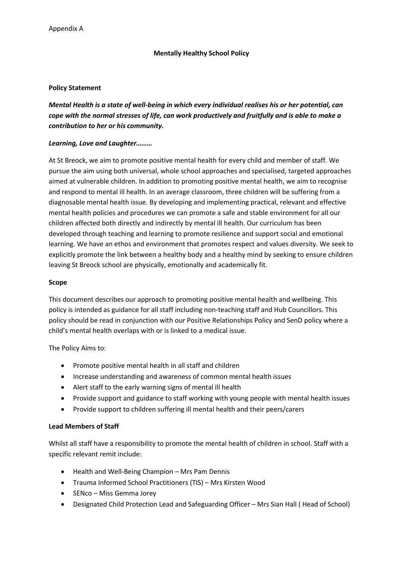#### **Mentally Healthy School Policy**

#### **Policy Statement**

*Mental Health is a state of well-being in which every individual realises his or her potential, can cope with the normal stresses of life, can work productively and fruitfully and is able to make a contribution to her or his community.*

#### *Learning, Love and Laughter………*

At St Breock, we aim to promote positive mental health for every child and member of staff. We pursue the aim using both universal, whole school approaches and specialised, targeted approaches aimed at vulnerable children. In addition to promoting positive mental health, we aim to recognise and respond to mental ill health. In an average classroom, three children will be suffering from a diagnosable mental health issue. By developing and implementing practical, relevant and effective mental health policies and procedures we can promote a safe and stable environment for all our children affected both directly and indirectly by mental ill health. Our curriculum has been developed through teaching and learning to promote resilience and support social and emotional learning. We have an ethos and environment that promotes respect and values diversity. We seek to explicitly promote the link between a healthy body and a healthy mind by seeking to ensure children leaving St Breock school are physically, emotionally and academically fit.

#### **Scope**

This document describes our approach to promoting positive mental health and wellbeing. This policy is intended as guidance for all staff including non-teaching staff and Hub Councillors. This policy should be read in conjunction with our Positive Relationships Policy and SenD policy where a child's mental health overlaps with or is linked to a medical issue.

The Policy Aims to:

- Promote positive mental health in all staff and children
- Increase understanding and awareness of common mental health issues
- Alert staff to the early warning signs of mental ill health
- Provide support and guidance to staff working with young people with mental health issues
- Provide support to children suffering ill mental health and their peers/carers

### **Lead Members of Staff**

Whilst all staff have a responsibility to promote the mental health of children in school. Staff with a specific relevant remit include:

- Health and Well-Being Champion Mrs Pam Dennis
- Trauma Informed School Practitioners (TIS) Mrs Kirsten Wood
- SENco Miss Gemma Jorey
- Designated Child Protection Lead and Safeguarding Officer Mrs Sian Hall ( Head of School)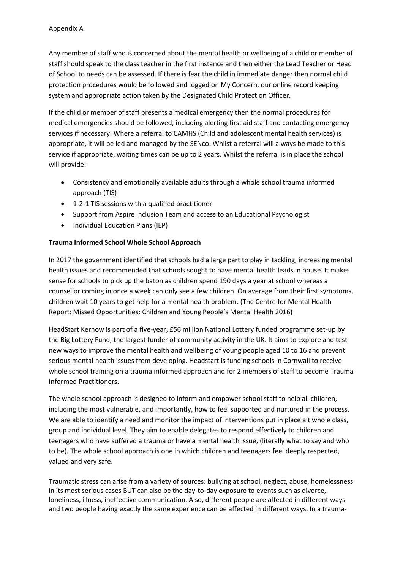Any member of staff who is concerned about the mental health or wellbeing of a child or member of staff should speak to the class teacher in the first instance and then either the Lead Teacher or Head of School to needs can be assessed. If there is fear the child in immediate danger then normal child protection procedures would be followed and logged on My Concern, our online record keeping system and appropriate action taken by the Designated Child Protection Officer.

If the child or member of staff presents a medical emergency then the normal procedures for medical emergencies should be followed, including alerting first aid staff and contacting emergency services if necessary. Where a referral to CAMHS (Child and adolescent mental health services) is appropriate, it will be led and managed by the SENco. Whilst a referral will always be made to this service if appropriate, waiting times can be up to 2 years. Whilst the referral is in place the school will provide:

- Consistency and emotionally available adults through a whole school trauma informed approach (TIS)
- 1-2-1 TIS sessions with a qualified practitioner
- Support from Aspire Inclusion Team and access to an Educational Psychologist
- Individual Education Plans (IEP)

## **Trauma Informed School Whole School Approach**

In 2017 the government identified that schools had a large part to play in tackling, increasing mental health issues and recommended that schools sought to have mental health leads in house. It makes sense for schools to pick up the baton as children spend 190 days a year at school whereas a counsellor coming in once a week can only see a few children. On average from their first symptoms, children wait 10 years to get help for a mental health problem. (The Centre for Mental Health Report: Missed Opportunities: Children and Young People's Mental Health 2016)

HeadStart Kernow is part of a five-year, £56 million National Lottery funded programme set-up by the Big Lottery Fund, the largest funder of community activity in the UK. It aims to explore and test new ways to improve the mental health and wellbeing of young people aged 10 to 16 and prevent serious mental health issues from developing. Headstart is funding schools in Cornwall to receive whole school training on a trauma informed approach and for 2 members of staff to become Trauma Informed Practitioners.

The whole school approach is designed to inform and empower school staff to help all children, including the most vulnerable, and importantly, how to feel supported and nurtured in the process. We are able to identify a need and monitor the impact of interventions put in place a t whole class, group and individual level. They aim to enable delegates to respond effectively to children and teenagers who have suffered a trauma or have a mental health issue, (literally what to say and who to be). The whole school approach is one in which children and teenagers feel deeply respected, valued and very safe.

Traumatic stress can arise from a variety of sources: bullying at school, neglect, abuse, homelessness in its most serious cases BUT can also be the day-to-day exposure to events such as divorce, loneliness, illness, ineffective communication. Also, different people are affected in different ways and two people having exactly the same experience can be affected in different ways. In a trauma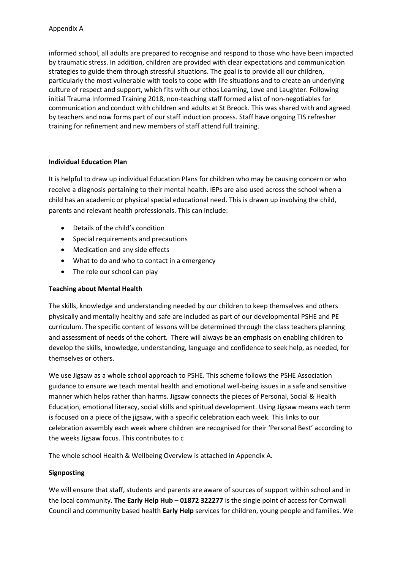informed school, all adults are prepared to recognise and respond to those who have been impacted by traumatic stress. In addition, children are provided with clear expectations and communication strategies to guide them through stressful situations. The goal is to provide all our children, particularly the most vulnerable with tools to cope with life situations and to create an underlying culture of respect and support, which fits with our ethos Learning, Love and Laughter. Following initial Trauma Informed Training 2018, non-teaching staff formed a list of non-negotiables for communication and conduct with children and adults at St Breock. This was shared with and agreed by teachers and now forms part of our staff induction process. Staff have ongoing TIS refresher training for refinement and new members of staff attend full training.

### **Individual Education Plan**

It is helpful to draw up individual Education Plans for children who may be causing concern or who receive a diagnosis pertaining to their mental health. IEPs are also used across the school when a child has an academic or physical special educational need. This is drawn up involving the child, parents and relevant health professionals. This can include:

- Details of the child's condition
- Special requirements and precautions
- Medication and any side effects
- What to do and who to contact in a emergency
- The role our school can play

# **Teaching about Mental Health**

The skills, knowledge and understanding needed by our children to keep themselves and others physically and mentally healthy and safe are included as part of our developmental PSHE and PE curriculum. The specific content of lessons will be determined through the class teachers planning and assessment of needs of the cohort. There will always be an emphasis on enabling children to develop the skills, knowledge, understanding, language and confidence to seek help, as needed, for themselves or others.

We use Jigsaw as a whole school approach to PSHE. This scheme follows the PSHE Association guidance to ensure we teach mental health and emotional well-being issues in a safe and sensitive manner which helps rather than harms. Jigsaw connects the pieces of Personal, Social & Health Education, emotional literacy, social skills and spiritual development. Using Jigsaw means each term is focused on a piece of the jigsaw, with a specific celebration each week. This links to our celebration assembly each week where children are recognised for their 'Personal Best' according to the weeks Jigsaw focus. This contributes to c

The whole school Health & Wellbeing Overview is attached in Appendix A.

# **Signposting**

We will ensure that staff, students and parents are aware of sources of support within school and in the local community. **The Early Help Hub – 01872 322277** is the single point of access for Cornwall Council and community based health **Early Help** services for children, young people and families. We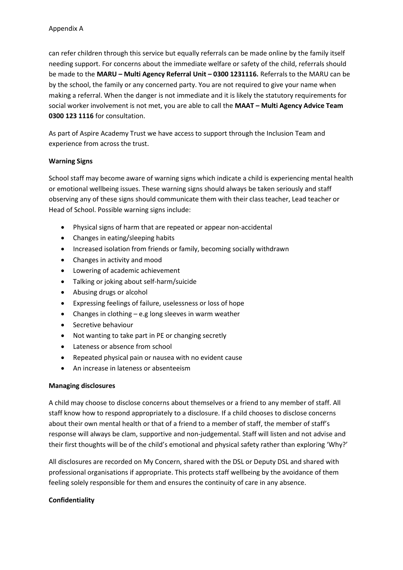can refer children through this service but equally referrals can be made online by the family itself needing support. For concerns about the immediate welfare or safety of the child, referrals should be made to the **MARU – Multi Agency Referral Unit – 0300 1231116.** Referrals to the MARU can be by the school, the family or any concerned party. You are not required to give your name when making a referral. When the danger is not immediate and it is likely the statutory requirements for social worker involvement is not met, you are able to call the **MAAT – Multi Agency Advice Team 0300 123 1116** for consultation.

As part of Aspire Academy Trust we have access to support through the Inclusion Team and experience from across the trust.

### **Warning Signs**

School staff may become aware of warning signs which indicate a child is experiencing mental health or emotional wellbeing issues. These warning signs should always be taken seriously and staff observing any of these signs should communicate them with their class teacher, Lead teacher or Head of School. Possible warning signs include:

- Physical signs of harm that are repeated or appear non-accidental
- Changes in eating/sleeping habits
- Increased isolation from friends or family, becoming socially withdrawn
- Changes in activity and mood
- Lowering of academic achievement
- Talking or joking about self-harm/suicide
- Abusing drugs or alcohol
- Expressing feelings of failure, uselessness or loss of hope
- Changes in clothing e.g long sleeves in warm weather
- Secretive behaviour
- Not wanting to take part in PE or changing secretly
- Lateness or absence from school
- Repeated physical pain or nausea with no evident cause
- An increase in lateness or absenteeism

### **Managing disclosures**

A child may choose to disclose concerns about themselves or a friend to any member of staff. All staff know how to respond appropriately to a disclosure. If a child chooses to disclose concerns about their own mental health or that of a friend to a member of staff, the member of staff's response will always be clam, supportive and non-judgemental. Staff will listen and not advise and their first thoughts will be of the child's emotional and physical safety rather than exploring 'Why?'

All disclosures are recorded on My Concern, shared with the DSL or Deputy DSL and shared with professional organisations if appropriate. This protects staff wellbeing by the avoidance of them feeling solely responsible for them and ensures the continuity of care in any absence.

### **Confidentiality**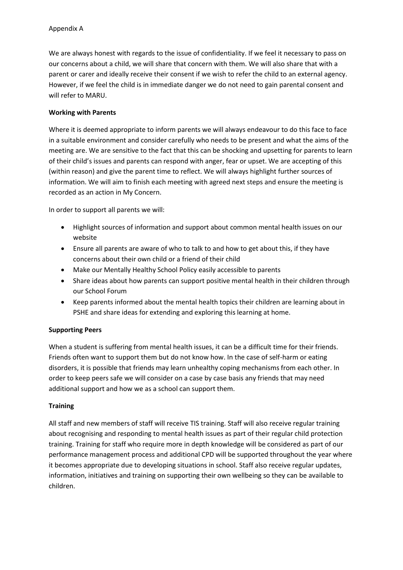We are always honest with regards to the issue of confidentiality. If we feel it necessary to pass on our concerns about a child, we will share that concern with them. We will also share that with a parent or carer and ideally receive their consent if we wish to refer the child to an external agency. However, if we feel the child is in immediate danger we do not need to gain parental consent and will refer to MARU.

### **Working with Parents**

Where it is deemed appropriate to inform parents we will always endeavour to do this face to face in a suitable environment and consider carefully who needs to be present and what the aims of the meeting are. We are sensitive to the fact that this can be shocking and upsetting for parents to learn of their child's issues and parents can respond with anger, fear or upset. We are accepting of this (within reason) and give the parent time to reflect. We will always highlight further sources of information. We will aim to finish each meeting with agreed next steps and ensure the meeting is recorded as an action in My Concern.

In order to support all parents we will:

- Highlight sources of information and support about common mental health issues on our website
- Ensure all parents are aware of who to talk to and how to get about this, if they have concerns about their own child or a friend of their child
- Make our Mentally Healthy School Policy easily accessible to parents
- Share ideas about how parents can support positive mental health in their children through our School Forum
- Keep parents informed about the mental health topics their children are learning about in PSHE and share ideas for extending and exploring this learning at home.

### **Supporting Peers**

When a student is suffering from mental health issues, it can be a difficult time for their friends. Friends often want to support them but do not know how. In the case of self-harm or eating disorders, it is possible that friends may learn unhealthy coping mechanisms from each other. In order to keep peers safe we will consider on a case by case basis any friends that may need additional support and how we as a school can support them.

### **Training**

All staff and new members of staff will receive TIS training. Staff will also receive regular training about recognising and responding to mental health issues as part of their regular child protection training. Training for staff who require more in depth knowledge will be considered as part of our performance management process and additional CPD will be supported throughout the year where it becomes appropriate due to developing situations in school. Staff also receive regular updates, information, initiatives and training on supporting their own wellbeing so they can be available to children.